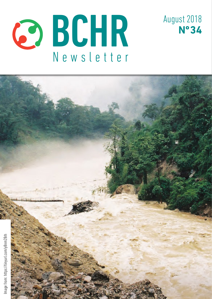



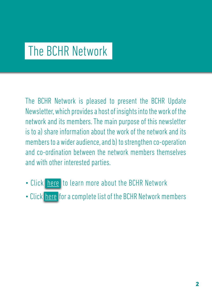## The BCHR Network

The BCHR Network is pleased to present the BCHR Update Newsletter, which provides a host of insights into the work of the network and its members. The main purpose of this newsletter is to a) share information about the work of the network and its members to a wider audience, and b) to strengthen co-operation and co-ordination between the network members themselves and with other interested parties.

- Click [here](http://www.networkbchr.org/) to learn more about the BCHR Network
- Click [here](http://www.networkbchr.org/#!join-the-network/c24vq) for a complete list of the BCHR Network members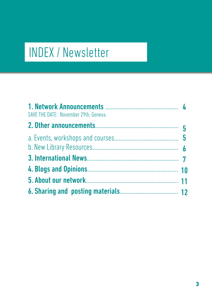# INDEX / Newsletter

| SAVE THE DATE: November 29th, Geneva. |  |
|---------------------------------------|--|
|                                       |  |
|                                       |  |
|                                       |  |
|                                       |  |
|                                       |  |
|                                       |  |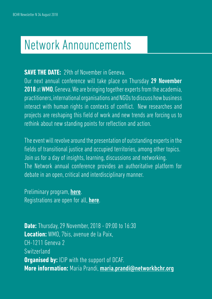## Network Announcements

### **SAVE THE DATE:** 29th of November in Geneva.

Our next annual conference will take place on Thursday 29 November 2018 at WMO, Geneva. We are bringing together experts from the academia, practitioners, international organisations and NGOs to discuss how business interact with human rights in contexts of conflict. New researches and projects are reshaping this field of work and new trends are forcing us to rethink about new standing points for reflection and action.

The event will revolve around the presentation of outstanding experts in the fields of transitional justice and occupied territories, among other topics. Join us for a day of insights, learning, discussions and networking. The Network annual conference provides an authoritative platform for debate in an open, critical and interdisciplinary manner.

Preliminary program, **[here](https://docs.wixstatic.com/ugd/e6086f_7a8b3f67e3a840688dc90af3c8c67c21.pdf).** Registrations are open for all, **[here](https://www.networkbchr.org/annual-meeting)**.

**Date:** Thursday, 29 November, 2018 - 09:00 to 16:30 **Location:** WMO, 7bis, avenue de la Paix, CH-1211 Geneva 2 Switzerland **Organised by:** ICIP with the support of DCAF. **More information:** Maria Prandi, [maria.prandi@networkbchr.org](mailto:maria.prandi%40networkbchr.org?subject=)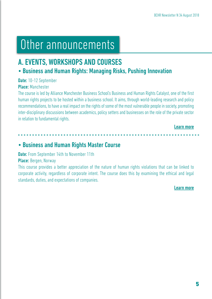## Other announcements

## A. EVENTS, WORKSHOPS AND COURSES

## • Business and Human Rights: Managing Risks, Pushing Innovation

#### Date: 10-12 September

#### Place: Manchester

The course is led by Alliance Manchester Business School's Business and Human Rights Catalyst, one of the first human rights projects to be hosted within a business school. It aims, through world-leading research and policy recommendations, to have a real impact on the rights of some of the most vulnerable people in society, promoting inter-disciplinary discussions between academics, policy setters and businesses on the role of the private sector in relation to fundamental rights.

#### [Learn more](https://tinyurl.com/y8tm5o9z)

#### • Business and Human Rights Master Course

Date: From September 14th to November 11th

#### Place: Bergen, Norway

This course provides a better appreciation of the nature of human rights violations that can be linked to corporate activity, regardless of corporate intent. The course does this by examining the ethical and legal standards, duties, and expectations of companies.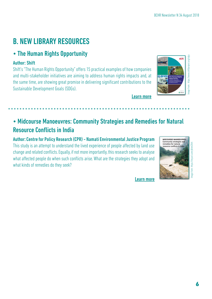## B. NEW LIBRARY RESOURCES

### • The Human Rights Opportunity

#### Author: Shift

Shift's "The Human Rights Opportunity" offers 15 practical examples of how companies and multi-stakeholder initiatives are aiming to address human rights impacts and, at the same time, are showing great promise in delivering significant contributions to the Sustainable Development Goals (SDGs).



[Learn more](https://www.shiftproject.org/sdgs)

## • Midcourse Manoeuvres: Community Strategies and Remedies for Natural Resource Conflicts in India

Author: Centre for Policy Research (CPR) - Namati Environmental Justice Program This study is an attempt to understand the lived experience of people affected by land use change and related conflicts. Equally, if not more importantly, this research seeks to analyse what affected people do when such conflicts arise. What are the strategies they adopt and what kinds of remedies do they seek?



Image from: https://tinyurl.com/y8nm28rh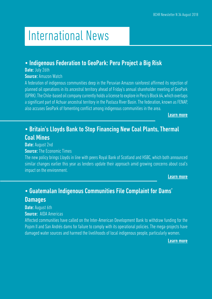## International News

### • Indigenous Federation to GeoPark: Peru Project a Big Risk

Date: July 26th

Source: Amazon Watch

A federation of indigenous communities deep in the Peruvian Amazon rainforest affirmed its rejection of planned oil operations in its ancestral territory ahead of Friday's annual shareholder meeting of GeoPark (GPRK). The Chile-based oil company currently holds a license to explore in Peru's Block 64, which overlaps a significant part of Achuar ancestral territory in the Pastaza River Basin. The federation, known as FENAP, also accuses GeoPark of fomenting conflict among indigenous communities in the area.

[Learn more](https://tinyurl.com/ycua9nsr)

## • Britain's Lloyds Bank to Stop Financing New Coal Plants, Thermal Coal Mines

Date: August 2nd

**Source:** The Economic Times

The new policy brings Lloyds in line with peers Royal Bank of Scotland and HSBC, which both announced similar changes earlier this year as lenders update their approach amid growing concerns about coal's impact on the environment.

[Learn more](https://tinyurl.com/yc49j84j)

## • Guatemalan Indigenous Communities File Complaint for Dams' **Damages**

Date: August 6th

Source: AIDA Americas

Affected communities have called on the Inter-American Development Bank to withdraw funding for the Pojom II and San Andrés dams for failure to comply with its operational policies. The mega-projects have damaged water sources and harmed the livelihoods of local indigenous people, particularly women.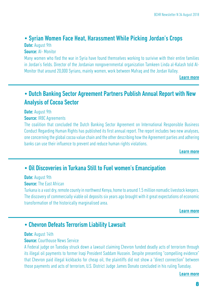### • Syrian Women Face Heat, Harassment While Picking Jordan's Crops

Date: August 9th

Source: AI- Monitor

Many women who fled the war in Syria have found themselves working to surivive with their entire families in Jordan's fields. Director of the Jordanian nongovernmental organization Tamkeen Linda al-Kalash told Al-Monitor that around 20,000 Syrians, mainly women, work between Mafraq and the Jordan Valley.

[Learn more](https://www.al-monitor.com/pulse/home.html)

## • Dutch Banking Sector Agreement Partners Publish Annual Report with New Analysis of Cocoa Sector

Date: August 9th

#### **Source: IRBC Agreements**

The coalition that concluded the Dutch Banking Sector Agreement on International Responsible Business Conduct Regarding Human Rights has published its first annual report. The report includes two new analyses, one concerning the global cocoa value chain and the other describing how the Agreement parties and adhering banks can use their influence to prevent and reduce human rights violations.

[Learn more](https://tinyurl.com/y7qdnrya)

### • Oil Discoveries in Turkana Still to Fuel women's Emancipation

Date: August 9th

**Source: The Fast African** 

Turkana is a vast dry, remote county in northwest Kenya, home to around 1.5 million nomadic livestock keepers. The discovery of commercially viable oil deposits six years ago brought with it great expectations of economic transformation of the historically marginalised area.

[Learn more](https://tinyurl.com/yaevoazx)

### • Chevron Defeats Terrorism Liability Lawsuit

#### Date: August 14th

#### **Source:** Courthouse News Service

A Federal judge on Tuesday struck down a lawsuit claiming Chevron funded deadly acts of terrorism through its illegal oil payments to former Iraqi President Saddam Hussein. Despite presenting "compelling evidence" that Chevron paid illegal kickbacks for cheap oil, the plaintiffs did not show a "direct connection" between those payments and acts of terrorism, U.S. District Judge James Donato concluded in his ruling Tuesday.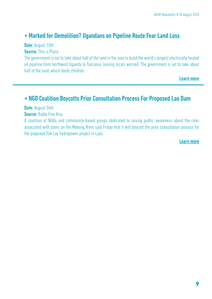### • Marked for Demolition? Ugandans on Pipeline Route Fear Land Loss

Date: August 15th

**Source: This is Place** 

The government is set to take about half of the land in the area to build the world's longest electrically heated oil pipeline from northwest Uganda to Tanzania, leaving locals worried. The government is set to take about half of the land, which feeds children.

[Learn more](https://tinyurl.com/ycsuaqt4)

#### • NGO Coalition Boycotts Prior Consultation Process For Proposed Lao Dam

Date: August 24th Source: Radio Free Asia

A coalition of NGOs and community-based groups dedicated to raising public awareness about the risks associated with dams on the Mekong River said Friday that it will boycott the prior consultation process for the proposed Pak Lay hydropower project in Laos.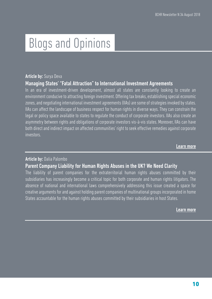## Blogs and Opinions

#### Article by: Surva Deva

#### Managing States' "Fatal Attraction" to International Investment Agreements

In an era of investment-driven development, almost all states are constantly looking to create an environment conducive to attracting foreign investment. Offering tax breaks, establishing special economic zones, and negotiating international investment agreements (IIAs) are some of strategies invoked by states. IIAs can affect the landscape of business respect for human rights in diverse ways. They can constrain the legal or policy space available to states to regulate the conduct of corporate investors. IIAs also create an asymmetry between rights and obligations of corporate investors vis-à-vis states. Moreover, IIAs can have both direct and indirect impact on affected communities' right to seek effective remedies against corporate investors.

[Learn more](https://tinyurl.com/y79gbqgm)

#### Article by: Dalia Palombo

#### Parent Company Liability for Human Rights Abuses in the UK? We Need Clarity

The liability of parent companies for the extraterritorial human rights abuses committed by their subsidiaries has increasingly become a critical topic for both corporate and human rights litigators. The absence of national and international laws comprehensively addressing this issue created a space for creative arguments for and against holding parent companies of multinational groups incorporated in home States accountable for the human rights abuses committed by their subsidiaries in host States.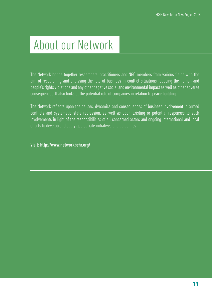## About our Network

The Network brings together researchers, practitioners and NGO members from various fields with the aim of researching and analysing the role of business in conflict situations reducing the human and people's rights violations and any other negative social and environmental impact as well as other adverse consequences. It also looks at the potential role of companies in relation to peace building.

The Network reflects upon the causes, dynamics and consequences of business involvement in armed conflicts and systematic state repression, as well as upon existing or potential responses to such involvements in light of the responsibilities of all concerned actors and ongoing international and local efforts to develop and apply appropriate initiatives and guidelines.

Visit: <http://www.networkbchr.org/>